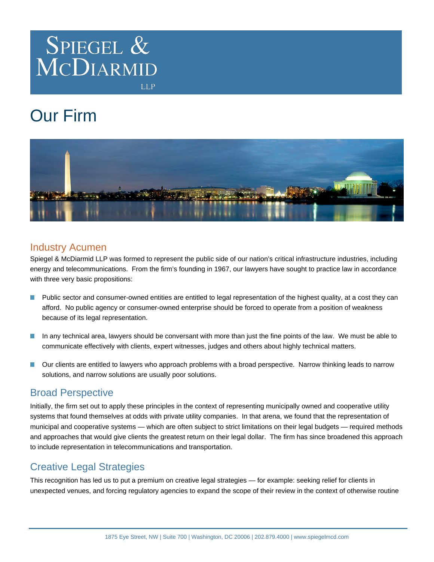

**LLP** 

# Our Firm



## Industry Acumen

Spiegel & McDiarmid LLP was formed to represent the public side of our nation's critical infrastructure industries, including energy and telecommunications. From the firm's founding in 1967, our lawyers have sought to practice law in accordance with three very basic propositions:

- Public sector and consumer-owned entities are entitled to legal representation of the highest quality, at a cost they can  $\Box$ afford. No public agency or consumer-owned enterprise should be forced to operate from a position of weakness because of its legal representation.
- In any technical area, lawyers should be conversant with more than just the fine points of the law. We must be able to  $\mathcal{L}_{\mathcal{A}}$ communicate effectively with clients, expert witnesses, judges and others about highly technical matters.
- Our clients are entitled to lawyers who approach problems with a broad perspective. Narrow thinking leads to narrow П solutions, and narrow solutions are usually poor solutions.

## Broad Perspective

Initially, the firm set out to apply these principles in the context of representing municipally owned and cooperative utility systems that found themselves at odds with private utility companies. In that arena, we found that the representation of municipal and cooperative systems — which are often subject to strict limitations on their legal budgets — required methods and approaches that would give clients the greatest return on their legal dollar. The firm has since broadened this approach to include representation in telecommunications and transportation.

# Creative Legal Strategies

This recognition has led us to put a premium on creative legal strategies — for example: seeking relief for clients in unexpected venues, and forcing regulatory agencies to expand the scope of their review in the context of otherwise routine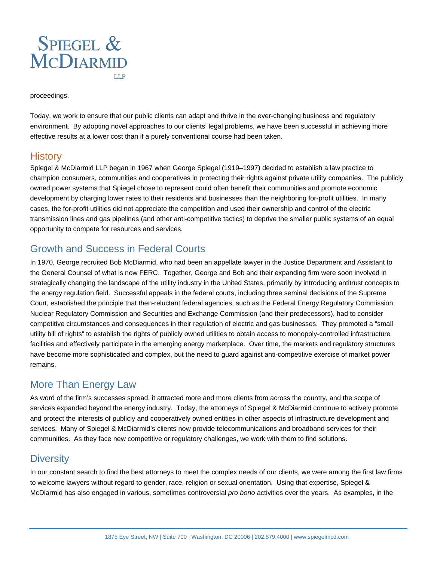

proceedings.

Today, we work to ensure that our public clients can adapt and thrive in the ever-changing business and regulatory environment. By adopting novel approaches to our clients' legal problems, we have been successful in achieving more effective results at a lower cost than if a purely conventional course had been taken.

#### **History**

Spiegel & McDiarmid LLP began in 1967 when George Spiegel (1919–1997) decided to establish a law practice to champion consumers, communities and cooperatives in protecting their rights against private utility companies. The publicly owned power systems that Spiegel chose to represent could often benefit their communities and promote economic development by charging lower rates to their residents and businesses than the neighboring for-profit utilities. In many cases, the for-profit utilities did not appreciate the competition and used their ownership and control of the electric transmission lines and gas pipelines (and other anti-competitive tactics) to deprive the smaller public systems of an equal opportunity to compete for resources and services.

## Growth and Success in Federal Courts

In 1970, George recruited Bob McDiarmid, who had been an appellate lawyer in the Justice Department and Assistant to the General Counsel of what is now FERC. Together, George and Bob and their expanding firm were soon involved in strategically changing the landscape of the utility industry in the United States, primarily by introducing antitrust concepts to the energy regulation field. Successful appeals in the federal courts, including three seminal decisions of the Supreme Court, established the principle that then-reluctant federal agencies, such as the Federal Energy Regulatory Commission, Nuclear Regulatory Commission and Securities and Exchange Commission (and their predecessors), had to consider competitive circumstances and consequences in their regulation of electric and gas businesses. They promoted a "small utility bill of rights" to establish the rights of publicly owned utilities to obtain access to monopoly-controlled infrastructure facilities and effectively participate in the emerging energy marketplace. Over time, the markets and regulatory structures have become more sophisticated and complex, but the need to guard against anti-competitive exercise of market power remains.

# More Than Energy Law

As word of the firm's successes spread, it attracted more and more clients from across the country, and the scope of services expanded beyond the energy industry. Today, the attorneys of Spiegel & McDiarmid continue to actively promote and protect the interests of publicly and cooperatively owned entities in other aspects of infrastructure development and services. Many of Spiegel & McDiarmid's clients now provide telecommunications and broadband services for their communities. As they face new competitive or regulatory challenges, we work with them to find solutions.

## **Diversity**

In our constant search to find the best attorneys to meet the complex needs of our clients, we were among the first law firms to welcome lawyers without regard to gender, race, religion or sexual orientation. Using that expertise, Spiegel & McDiarmid has also engaged in various, sometimes controversial *pro bono* activities over the years. As examples, in the